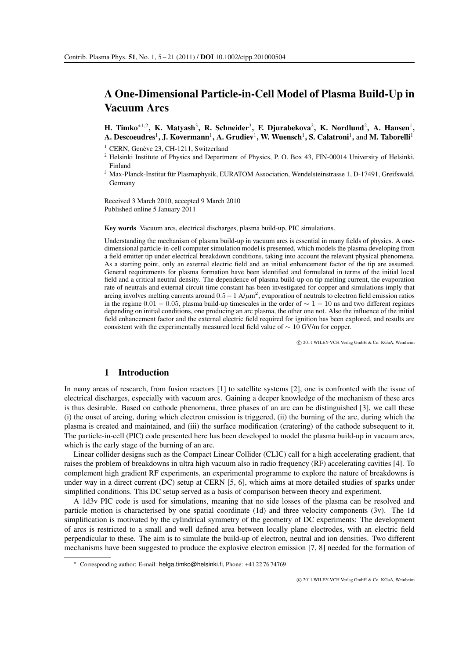# A One-Dimensional Particle-in-Cell Model of Plasma Build-Up in Vacuum Arcs

H. Timko<sup>\*1,2</sup>, K. Matyash<sup>3</sup>, R. Schneider<sup>3</sup>, F. Djurabekova<sup>2</sup>, K. Nordlund<sup>2</sup>, A. Hansen<sup>1</sup>, A. Descoeudres<sup>1</sup>, J. Kovermann<sup>1</sup>, A. Grudiev<sup>1</sup>, W. Wuensch<sup>1</sup>, S. Calatroni<sup>1</sup>, and M. Taborelli<sup>1</sup>

 $1$  CERN, Genève 23, CH-1211, Switzerland

- <sup>2</sup> Helsinki Institute of Physics and Department of Physics, P. O. Box 43, FIN-00014 University of Helsinki, Finland
- <sup>3</sup> Max-Planck-Institut für Plasmaphysik, EURATOM Association, Wendelsteinstrasse 1, D-17491, Greifswald, Germany

Received 3 March 2010, accepted 9 March 2010 Published online 5 January 2011

Key words Vacuum arcs, electrical discharges, plasma build-up, PIC simulations.

Understanding the mechanism of plasma build-up in vacuum arcs is essential in many fields of physics. A onedimensional particle-in-cell computer simulation model is presented, which models the plasma developing from a field emitter tip under electrical breakdown conditions, taking into account the relevant physical phenomena. As a starting point, only an external electric field and an initial enhancement factor of the tip are assumed. General requirements for plasma formation have been identified and formulated in terms of the initial local field and a critical neutral density. The dependence of plasma build-up on tip melting current, the evaporation rate of neutrals and external circuit time constant has been investigated for copper and simulations imply that arcing involves melting currents around  $0.5-1$  A/ $\mu$ m<sup>2</sup>, evaporation of neutrals to electron field emission ratios in the regime  $0.01 - 0.05$ , plasma build-up timescales in the order of  $\sim 1 - 10$  ns and two different regimes depending on initial conditions, one producing an arc plasma, the other one not. Also the influence of the initial field enhancement factor and the external electric field required for ignition has been explored, and results are consistent with the experimentally measured local field value of  $\sim 10$  GV/m for copper.

-c 2011 WILEY-VCH Verlag GmbH & Co. KGaA, Weinheim

# 1 Introduction

In many areas of research, from fusion reactors [1] to satellite systems [2], one is confronted with the issue of electrical discharges, especially with vacuum arcs. Gaining a deeper knowledge of the mechanism of these arcs is thus desirable. Based on cathode phenomena, three phases of an arc can be distinguished [3], we call these (i) the onset of arcing, during which electron emission is triggered, (ii) the burning of the arc, during which the plasma is created and maintained, and (iii) the surface modification (cratering) of the cathode subsequent to it. The particle-in-cell (PIC) code presented here has been developed to model the plasma build-up in vacuum arcs, which is the early stage of the burning of an arc.

Linear collider designs such as the Compact Linear Collider (CLIC) call for a high accelerating gradient, that raises the problem of breakdowns in ultra high vacuum also in radio frequency (RF) accelerating cavities [4]. To complement high gradient RF experiments, an experimental programme to explore the nature of breakdowns is under way in a direct current (DC) setup at CERN [5, 6], which aims at more detailed studies of sparks under simplified conditions. This DC setup served as a basis of comparison between theory and experiment.

A 1d3v PIC code is used for simulations, meaning that no side losses of the plasma can be resolved and particle motion is characterised by one spatial coordinate (1d) and three velocity components (3v). The 1d simplification is motivated by the cylindrical symmetry of the geometry of DC experiments: The development of arcs is restricted to a small and well defined area between locally plane electrodes, with an electric field perpendicular to these. The aim is to simulate the build-up of electron, neutral and ion densities. Two different mechanisms have been suggested to produce the explosive electron emission [7, 8] needed for the formation of

<sup>∗</sup> Corresponding author: E-mail: helga.timko@helsinki.fi, Phone: +41 22 76 74769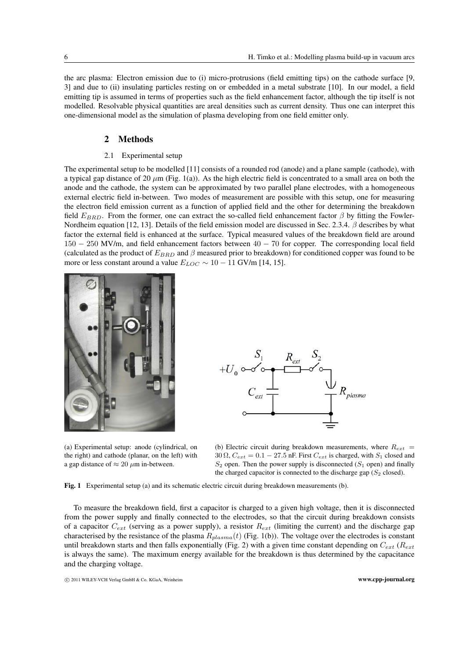the arc plasma: Electron emission due to (i) micro-protrusions (field emitting tips) on the cathode surface [9, 3] and due to (ii) insulating particles resting on or embedded in a metal substrate [10]. In our model, a field emitting tip is assumed in terms of properties such as the field enhancement factor, although the tip itself is not modelled. Resolvable physical quantities are areal densities such as current density. Thus one can interpret this one-dimensional model as the simulation of plasma developing from one field emitter only.

## 2 Methods

# 2.1 Experimental setup

The experimental setup to be modelled [11] consists of a rounded rod (anode) and a plane sample (cathode), with a typical gap distance of 20  $\mu$ m (Fig. 1(a)). As the high electric field is concentrated to a small area on both the anode and the cathode, the system can be approximated by two parallel plane electrodes, with a homogeneous external electric field in-between. Two modes of measurement are possible with this setup, one for measuring the electron field emission current as a function of applied field and the other for determining the breakdown field  $E_{BRD}$ . From the former, one can extract the so-called field enhancement factor  $\beta$  by fitting the Fowler-Nordheim equation [12, 13]. Details of the field emission model are discussed in Sec. 2.3.4. β describes by what factor the external field is enhanced at the surface. Typical measured values of the breakdown field are around 150 − 250 MV/m, and field enhancement factors between 40 − 70 for copper. The corresponding local field (calculated as the product of  $E_{BRD}$  and  $\beta$  measured prior to breakdown) for conditioned copper was found to be more or less constant around a value  $E_{LOC} \sim 10 - 11$  GV/m [14, 15].



(a) Experimental setup: anode (cylindrical, on the right) and cathode (planar, on the left) with a gap distance of  $\approx 20 \ \mu \text{m}$  in-between.



(b) Electric circuit during breakdown measurements, where  $R_{ext}$  =  $30 \Omega$ ,  $C_{ext} = 0.1 - 27.5$  nF. First  $C_{ext}$  is charged, with  $S_1$  closed and  $S_2$  open. Then the power supply is disconnected  $(S_1$  open) and finally the charged capacitor is connected to the discharge gap  $(S_2 \text{ closed})$ .

Fig. 1 Experimental setup (a) and its schematic electric circuit during breakdown measurements (b).

To measure the breakdown field, first a capacitor is charged to a given high voltage, then it is disconnected from the power supply and finally connected to the electrodes, so that the circuit during breakdown consists of a capacitor  $C_{ext}$  (serving as a power supply), a resistor  $R_{ext}$  (limiting the current) and the discharge gap characterised by the resistance of the plasma  $R_{plasma}(t)$  (Fig. 1(b)). The voltage over the electrodes is constant until breakdown starts and then falls exponentially (Fig. 2) with a given time constant depending on  $C_{ext}$  ( $R_{ext}$ is always the same). The maximum energy available for the breakdown is thus determined by the capacitance and the charging voltage.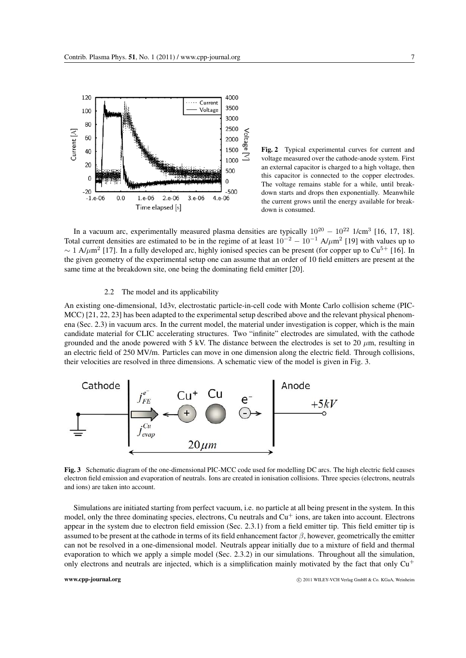

Fig. 2 Typical experimental curves for current and voltage measured over the cathode-anode system. First an external capacitor is charged to a high voltage, then this capacitor is connected to the copper electrodes. The voltage remains stable for a while, until breakdown starts and drops then exponentially. Meanwhile the current grows until the energy available for breakdown is consumed.

In a vacuum arc, experimentally measured plasma densities are typically  $10^{20} - 10^{22}$  1/cm<sup>3</sup> [16, 17, 18]. Total current densities are estimated to be in the regime of at least  $10^{-2} - 10^{-1}$  A/ $\mu$ m<sup>2</sup> [19] with values up to  $\sim 1$  A/ $\mu$ m<sup>2</sup> [17]. In a fully developed arc, highly ionised species can be present (for copper up to Cu<sup>5+</sup> [16]. In the given geometry of the experimental setup one can assume that an order of 10 field emitters are present at the same time at the breakdown site, one being the dominating field emitter [20].

#### 2.2 The model and its applicability

An existing one-dimensional, 1d3v, electrostatic particle-in-cell code with Monte Carlo collision scheme (PIC-MCC) [21, 22, 23] has been adapted to the experimental setup described above and the relevant physical phenomena (Sec. 2.3) in vacuum arcs. In the current model, the material under investigation is copper, which is the main candidate material for CLIC accelerating structures. Two "infinite" electrodes are simulated, with the cathode grounded and the anode powered with 5 kV. The distance between the electrodes is set to 20  $\mu$ m, resulting in an electric field of 250 MV/m. Particles can move in one dimension along the electric field. Through collisions, their velocities are resolved in three dimensions. A schematic view of the model is given in Fig. 3.



Fig. 3 Schematic diagram of the one-dimensional PIC-MCC code used for modelling DC arcs. The high electric field causes electron field emission and evaporation of neutrals. Ions are created in ionisation collisions. Three species (electrons, neutrals and ions) are taken into account.

Simulations are initiated starting from perfect vacuum, i.e. no particle at all being present in the system. In this model, only the three dominating species, electrons, Cu neutrals and  $Cu<sup>+</sup>$  ions, are taken into account. Electrons appear in the system due to electron field emission (Sec. 2.3.1) from a field emitter tip. This field emitter tip is assumed to be present at the cathode in terms of its field enhancement factor  $\beta$ , however, geometrically the emitter can not be resolved in a one-dimensional model. Neutrals appear initially due to a mixture of field and thermal evaporation to which we apply a simple model (Sec. 2.3.2) in our simulations. Throughout all the simulation, only electrons and neutrals are injected, which is a simplification mainly motivated by the fact that only Cu<sup>+</sup>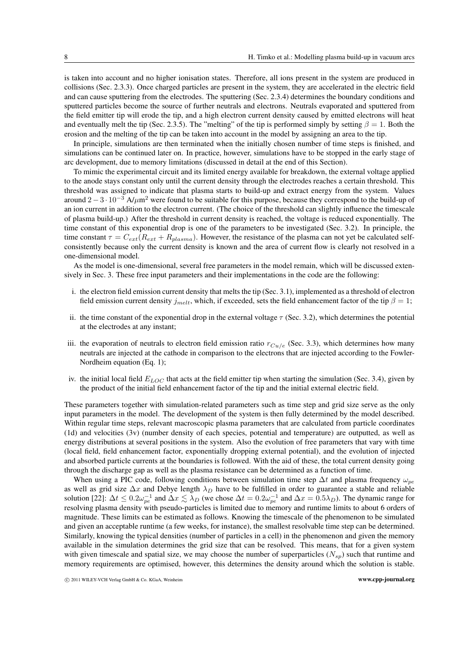is taken into account and no higher ionisation states. Therefore, all ions present in the system are produced in collisions (Sec. 2.3.3). Once charged particles are present in the system, they are accelerated in the electric field and can cause sputtering from the electrodes. The sputtering (Sec. 2.3.4) determines the boundary conditions and sputtered particles become the source of further neutrals and electrons. Neutrals evaporated and sputtered from the field emitter tip will erode the tip, and a high electron current density caused by emitted electrons will heat and eventually melt the tip (Sec. 2.3.5). The "melting" of the tip is performed simply by setting  $\beta = 1$ . Both the erosion and the melting of the tip can be taken into account in the model by assigning an area to the tip.

In principle, simulations are then terminated when the initially chosen number of time steps is finished, and simulations can be continued later on. In practice, however, simulations have to be stopped in the early stage of arc development, due to memory limitations (discussed in detail at the end of this Section).

To mimic the experimental circuit and its limited energy available for breakdown, the external voltage applied to the anode stays constant only until the current density through the electrodes reaches a certain threshold. This threshold was assigned to indicate that plasma starts to build-up and extract energy from the system. Values around  $2-3 \cdot 10^{-3}$  A/ $\mu$ m<sup>2</sup> were found to be suitable for this purpose, because they correspond to the build-up of an ion current in addition to the electron current. (The choice of the threshold can slightly influence the timescale of plasma build-up.) After the threshold in current density is reached, the voltage is reduced exponentially. The time constant of this exponential drop is one of the parameters to be investigated (Sec. 3.2). In principle, the time constant  $\tau = C_{ext}(R_{ext} + R_{plasma})$ . However, the resistance of the plasma can not yet be calculated selfconsistently because only the current density is known and the area of current flow is clearly not resolved in a one-dimensional model.

As the model is one-dimensional, several free parameters in the model remain, which will be discussed extensively in Sec. 3. These free input parameters and their implementations in the code are the following:

- i. the electron field emission current density that melts the tip (Sec. 3.1), implemented as a threshold of electron field emission current density  $j_{melt}$ , which, if exceeded, sets the field enhancement factor of the tip  $\beta = 1$ ;
- ii. the time constant of the exponential drop in the external voltage  $\tau$  (Sec. 3.2), which determines the potential at the electrodes at any instant;
- iii. the evaporation of neutrals to electron field emission ratio  $r_{Cu/e}$  (Sec. 3.3), which determines how many neutrals are injected at the cathode in comparison to the electrons that are injected according to the Fowler-Nordheim equation (Eq. 1);
- iv. the initial local field  $E_{LOC}$  that acts at the field emitter tip when starting the simulation (Sec. 3.4), given by the product of the initial field enhancement factor of the tip and the initial external electric field.

These parameters together with simulation-related parameters such as time step and grid size serve as the only input parameters in the model. The development of the system is then fully determined by the model described. Within regular time steps, relevant macroscopic plasma parameters that are calculated from particle coordinates (1d) and velocities (3v) (number density of each species, potential and temperature) are outputted, as well as energy distributions at several positions in the system. Also the evolution of free parameters that vary with time (local field, field enhancement factor, exponentially dropping external potential), and the evolution of injected and absorbed particle currents at the boundaries is followed. With the aid of these, the total current density going through the discharge gap as well as the plasma resistance can be determined as a function of time.

When using a PIC code, following conditions between simulation time step  $\Delta t$  and plasma frequency  $\omega_{pe}$ as well as grid size  $\Delta x$  and Debye length  $\lambda_D$  have to be fulfilled in order to guarantee a stable and reliable solution [22]:  $\Delta t \le 0.2\omega_{pe}^{-1}$  and  $\Delta x \le \lambda_D$  (we chose  $\Delta t = 0.2\omega_{pe}^{-1}$  and  $\Delta x = 0.5\lambda_D$ ). The dynamic range for resolving plasma density with pseudo-particles is limited due to memory and runtime limits to about 6 orders of magnitude. These limits can be estimated as follows. Knowing the timescale of the phenomenon to be simulated and given an acceptable runtime (a few weeks, for instance), the smallest resolvable time step can be determined. Similarly, knowing the typical densities (number of particles in a cell) in the phenomenon and given the memory available in the simulation determines the grid size that can be resolved. This means, that for a given system with given timescale and spatial size, we may choose the number of superparticles  $(N_{sp})$  such that runtime and memory requirements are optimised, however, this determines the density around which the solution is stable.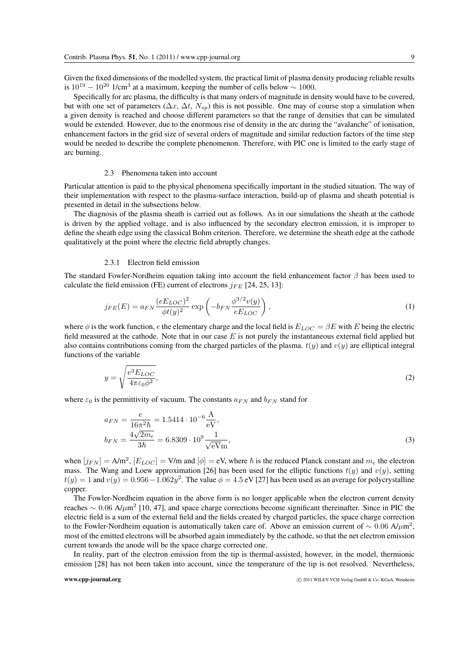Given the fixed dimensions of the modelled system, the practical limit of plasma density producing reliable results is  $10^{19} - 10^{20}$  1/cm<sup>3</sup> at a maximum, keeping the number of cells below  $\sim 1000$ .

Specifically for arc plasma, the difficulty is that many orders of magnitude in density would have to be covered, but with one set of parameters ( $\Delta x$ ,  $\Delta t$ ,  $N_{sp}$ ) this is not possible. One may of course stop a simulation when a given density is reached and choose different parameters so that the range of densities that can be simulated would be extended. However, due to the enormous rise of density in the arc during the "avalanche" of ionisation, enhancement factors in the grid size of several orders of magnitude and similar reduction factors of the time step would be needed to describe the complete phenomenon. Therefore, with PIC one is limited to the early stage of arc burning.

#### 2.3 Phenomena taken into account

Particular attention is paid to the physical phenomena specifically important in the studied situation. The way of their implementation with respect to the plasma-surface interaction, build-up of plasma and sheath potential is presented in detail in the subsections below.

The diagnosis of the plasma sheath is carried out as follows. As in our simulations the sheath at the cathode is driven by the applied voltage, and is also influenced by the secondary electron emission, it is improper to define the sheath edge using the classical Bohm criterion. Therefore, we determine the sheath edge at the cathode qualitatively at the point where the electric field abruptly changes.

#### 2.3.1 Electron field emission

The standard Fowler-Nordheim equation taking into account the field enhancement factor  $\beta$  has been used to calculate the field emission (FE) current of electrons  $j_{FE}$  [24, 25, 13]:

$$
j_{FE}(E) = a_{FN} \frac{(eE_{LOC})^2}{\phi t(y)^2} \exp\left(-b_{FN} \frac{\phi^{3/2} v(y)}{eE_{LOC}}\right),\tag{1}
$$

where  $\phi$  is the work function, e the elementary charge and the local field is  $E_{LOC} = \beta E$  with E being the electric field measured at the cathode. Note that in our case  $E$  is not purely the instantaneous external field applied but also contains contributions coming from the charged particles of the plasma.  $t(y)$  and  $v(y)$  are elliptical integral functions of the variable

$$
y = \sqrt{\frac{e^3 E_{LOC}}{4\pi\varepsilon_0 \phi^2}},\tag{2}
$$

where  $\varepsilon_0$  is the permittivity of vacuum. The constants  $a_{FN}$  and  $b_{FN}$  stand for

$$
a_{FN} = \frac{e}{16\pi^2 \hbar} = 1.5414 \cdot 10^{-6} \frac{\text{A}}{\text{eV}},
$$
  
\n
$$
b_{FN} = \frac{4\sqrt{2m_e}}{3\hbar} = 6.8309 \cdot 10^9 \frac{1}{\sqrt{\text{eVm}}},
$$
\n(3)

when  $[j_{FN}] = A/m^2$ ,  $[E_{LOC}] = V/m$  and  $[\phi] = eV$ , where  $\hbar$  is the reduced Planck constant and  $m_e$  the electron mass. The Wang and Loew approximation [26] has been used for the elliptic functions  $t(y)$  and  $v(y)$ , setting  $t(y)=1$  and  $v(y)=0.956-1.062y^2$ . The value  $\phi = 4.5$  eV [27] has been used as an average for polycrystalline copper.

The Fowler-Nordheim equation in the above form is no longer applicable when the electron current density reaches  $\sim 0.06$  A/ $\mu$ m<sup>2</sup> [10, 47], and space charge corrections become significant thereinafter. Since in PIC the electric field is a sum of the external field and the fields created by charged particles, the space charge correction to the Fowler-Nordheim equation is automatically taken care of. Above an emission current of  $\sim 0.06$  A/ $\mu$ m<sup>2</sup>, most of the emitted electrons will be absorbed again immediately by the cathode, so that the net electron emission current towards the anode will be the space charge corrected one.

In reality, part of the electron emission from the tip is thermal-assisted, however, in the model, thermionic emission [28] has not been taken into account, since the temperature of the tip is not resolved. Nevertheless,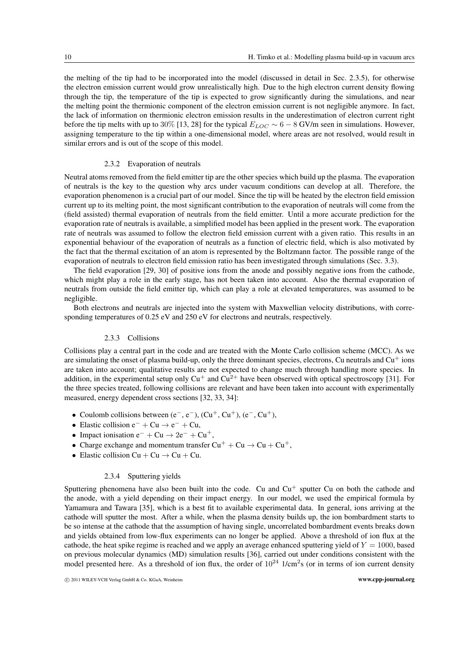the melting of the tip had to be incorporated into the model (discussed in detail in Sec. 2.3.5), for otherwise the electron emission current would grow unrealistically high. Due to the high electron current density flowing through the tip, the temperature of the tip is expected to grow significantly during the simulations, and near the melting point the thermionic component of the electron emission current is not negligible anymore. In fact, the lack of information on thermionic electron emission results in the underestimation of electron current right before the tip melts with up to 30% [13, 28] for the typical  $E_{LOC} \sim 6 - 8$  GV/m seen in simulations. However, assigning temperature to the tip within a one-dimensional model, where areas are not resolved, would result in similar errors and is out of the scope of this model.

#### 2.3.2 Evaporation of neutrals

Neutral atoms removed from the field emitter tip are the other species which build up the plasma. The evaporation of neutrals is the key to the question why arcs under vacuum conditions can develop at all. Therefore, the evaporation phenomenon is a crucial part of our model. Since the tip will be heated by the electron field emission current up to its melting point, the most significant contribution to the evaporation of neutrals will come from the (field assisted) thermal evaporation of neutrals from the field emitter. Until a more accurate prediction for the evaporation rate of neutrals is available, a simplified model has been applied in the present work. The evaporation rate of neutrals was assumed to follow the electron field emission current with a given ratio. This results in an exponential behaviour of the evaporation of neutrals as a function of electric field, which is also motivated by the fact that the thermal excitation of an atom is represented by the Boltzmann factor. The possible range of the evaporation of neutrals to electron field emission ratio has been investigated through simulations (Sec. 3.3).

The field evaporation [29, 30] of positive ions from the anode and possibly negative ions from the cathode, which might play a role in the early stage, has not been taken into account. Also the thermal evaporation of neutrals from outside the field emitter tip, which can play a role at elevated temperatures, was assumed to be negligible.

Both electrons and neutrals are injected into the system with Maxwellian velocity distributions, with corresponding temperatures of 0.25 eV and 250 eV for electrons and neutrals, respectively.

#### 2.3.3 Collisions

Collisions play a central part in the code and are treated with the Monte Carlo collision scheme (MCC). As we are simulating the onset of plasma build-up, only the three dominant species, electrons, Cu neutrals and  $Cu<sup>+</sup>$  ions are taken into account; qualitative results are not expected to change much through handling more species. In addition, in the experimental setup only  $Cu^+$  and  $Cu^{2+}$  have been observed with optical spectroscopy [31]. For the three species treated, following collisions are relevant and have been taken into account with experimentally measured, energy dependent cross sections [32, 33, 34]:

- Coulomb collisions between  $(e^-, e^-)$ ,  $Cu^+, Cu^+, (e^-, Cu^+)$ ,
- Elastic collision  $e^- + Cu \rightarrow e^- + Cu$ ,
- Impact ionisation  $e^- + Cu \rightarrow 2e^- + Cu^+,$
- Charge exchange and momentum transfer  $Cu^+ + Cu \rightarrow Cu + Cu^+,$
- Elastic collision  $Cu + Cu \rightarrow Cu + Cu$ .

## 2.3.4 Sputtering yields

Sputtering phenomena have also been built into the code. Cu and  $Cu<sup>+</sup>$  sputter Cu on both the cathode and the anode, with a yield depending on their impact energy. In our model, we used the empirical formula by Yamamura and Tawara [35], which is a best fit to available experimental data. In general, ions arriving at the cathode will sputter the most. After a while, when the plasma density builds up, the ion bombardment starts to be so intense at the cathode that the assumption of having single, uncorrelated bombardment events breaks down and yields obtained from low-flux experiments can no longer be applied. Above a threshold of ion flux at the cathode, the heat spike regime is reached and we apply an average enhanced sputtering yield of  $Y = 1000$ , based on previous molecular dynamics (MD) simulation results [36], carried out under conditions consistent with the model presented here. As a threshold of ion flux, the order of  $10^{24}$  1/cm<sup>2</sup>s (or in terms of ion current density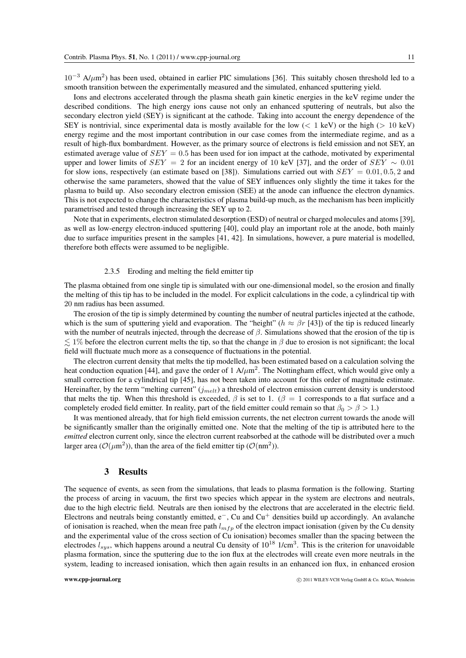$10^{-3}$  A/ $\mu$ m<sup>2</sup>) has been used, obtained in earlier PIC simulations [36]. This suitably chosen threshold led to a smooth transition between the experimentally measured and the simulated, enhanced sputtering yield.

Ions and electrons accelerated through the plasma sheath gain kinetic energies in the keV regime under the described conditions. The high energy ions cause not only an enhanced sputtering of neutrals, but also the secondary electron yield (SEY) is significant at the cathode. Taking into account the energy dependence of the SEY is nontrivial, since experimental data is mostly available for the low ( $< 1 \text{ keV}$ ) or the high ( $> 10 \text{ keV}$ ) energy regime and the most important contribution in our case comes from the intermediate regime, and as a result of high-flux bombardment. However, as the primary source of electrons is field emission and not SEY, an estimated average value of  $SEY = 0.5$  has been used for ion impact at the cathode, motivated by experimental upper and lower limits of  $SEY = 2$  for an incident energy of 10 keV [37], and the order of  $SEY \sim 0.01$ for slow ions, respectively (an estimate based on [38]). Simulations carried out with  $SEY = 0.01, 0.5, 2$  and otherwise the same parameters, showed that the value of SEY influences only slightly the time it takes for the plasma to build up. Also secondary electron emission (SEE) at the anode can influence the electron dynamics. This is not expected to change the characteristics of plasma build-up much, as the mechanism has been implicitly parametrised and tested through increasing the SEY up to 2.

Note that in experiments, electron stimulated desorption (ESD) of neutral or charged molecules and atoms [39], as well as low-energy electron-induced sputtering [40], could play an important role at the anode, both mainly due to surface impurities present in the samples [41, 42]. In simulations, however, a pure material is modelled, therefore both effects were assumed to be negligible.

#### 2.3.5 Eroding and melting the field emitter tip

The plasma obtained from one single tip is simulated with our one-dimensional model, so the erosion and finally the melting of this tip has to be included in the model. For explicit calculations in the code, a cylindrical tip with 20 nm radius has been assumed.

The erosion of the tip is simply determined by counting the number of neutral particles injected at the cathode, which is the sum of sputtering yield and evaporation. The "height" ( $h \approx \beta r$  [43]) of the tip is reduced linearly with the number of neutrals injected, through the decrease of  $\beta$ . Simulations showed that the erosion of the tip is  $\lesssim 1\%$  before the electron current melts the tip, so that the change in  $\beta$  due to erosion is not significant; the local field will fluctuate much more as a consequence of fluctuations in the potential.

The electron current density that melts the tip modelled, has been estimated based on a calculation solving the heat conduction equation [44], and gave the order of 1  $A/\mu m^2$ . The Nottingham effect, which would give only a small correction for a cylindrical tip [45], has not been taken into account for this order of magnitude estimate. Hereinafter, by the term "melting current" ( $j_{melt}$ ) a threshold of electron emission current density is understood that melts the tip. When this threshold is exceeded,  $\beta$  is set to 1. ( $\beta = 1$  corresponds to a flat surface and a completely eroded field emitter. In reality, part of the field emitter could remain so that  $\beta_0 > \beta > 1$ .)

It was mentioned already, that for high field emission currents, the net electron current towards the anode will be significantly smaller than the originally emitted one. Note that the melting of the tip is attributed here to the *emitted* electron current only, since the electron current reabsorbed at the cathode will be distributed over a much larger area ( $\mathcal{O}(\mu m^2)$ ), than the area of the field emitter tip ( $\mathcal{O}(nm^2)$ ).

## 3 Results

The sequence of events, as seen from the simulations, that leads to plasma formation is the following. Starting the process of arcing in vacuum, the first two species which appear in the system are electrons and neutrals, due to the high electric field. Neutrals are then ionised by the electrons that are accelerated in the electric field. Electrons and neutrals being constantly emitted, e−, Cu and Cu<sup>+</sup> densities build up accordingly. An avalanche of ionisation is reached, when the mean free path  $l_{mfp}$  of the electron impact ionisation (given by the Cu density and the experimental value of the cross section of Cu ionisation) becomes smaller than the spacing between the electrodes  $l_{sys}$ , which happens around a neutral Cu density of  $10^{18}$  1/cm<sup>3</sup>. This is the criterion for unavoidable plasma formation, since the sputtering due to the ion flux at the electrodes will create even more neutrals in the system, leading to increased ionisation, which then again results in an enhanced ion flux, in enhanced erosion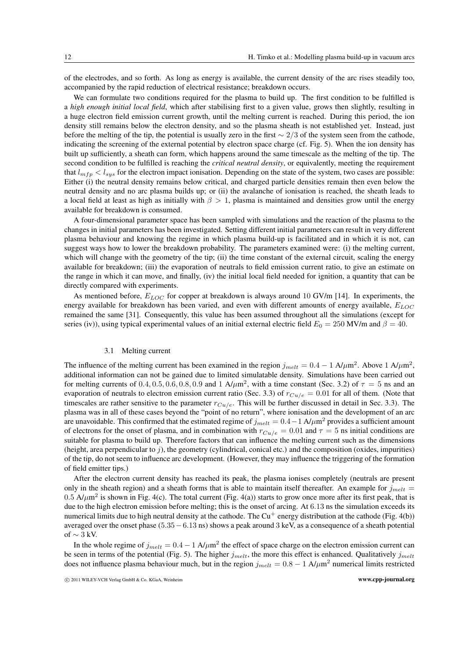of the electrodes, and so forth. As long as energy is available, the current density of the arc rises steadily too, accompanied by the rapid reduction of electrical resistance; breakdown occurs.

We can formulate two conditions required for the plasma to build up. The first condition to be fulfilled is a *high enough initial local field*, which after stabilising first to a given value, grows then slightly, resulting in a huge electron field emission current growth, until the melting current is reached. During this period, the ion density still remains below the electron density, and so the plasma sheath is not established yet. Instead, just before the melting of the tip, the potential is usually zero in the first  $\sim 2/3$  of the system seen from the cathode, indicating the screening of the external potential by electron space charge (cf. Fig. 5). When the ion density has built up sufficiently, a sheath can form, which happens around the same timescale as the melting of the tip. The second condition to be fulfilled is reaching the *critical neutral density*, or equivalently, meeting the requirement that  $l_{mfp} < l_{sys}$  for the electron impact ionisation. Depending on the state of the system, two cases are possible: Either (i) the neutral density remains below critical, and charged particle densities remain then even below the neutral density and no arc plasma builds up; or (ii) the avalanche of ionisation is reached, the sheath leads to a local field at least as high as initially with  $\beta > 1$ , plasma is maintained and densities grow until the energy available for breakdown is consumed.

A four-dimensional parameter space has been sampled with simulations and the reaction of the plasma to the changes in initial parameters has been investigated. Setting different initial parameters can result in very different plasma behaviour and knowing the regime in which plasma build-up is facilitated and in which it is not, can suggest ways how to lower the breakdown probability. The parameters examined were: (i) the melting current, which will change with the geometry of the tip; (ii) the time constant of the external circuit, scaling the energy available for breakdown; (iii) the evaporation of neutrals to field emission current ratio, to give an estimate on the range in which it can move, and finally, (iv) the initial local field needed for ignition, a quantity that can be directly compared with experiments.

As mentioned before,  $E_{LOC}$  for copper at breakdown is always around 10 GV/m [14]. In experiments, the energy available for breakdown has been varied, and even with different amounts of energy available,  $E_{LOC}$ remained the same [31]. Consequently, this value has been assumed throughout all the simulations (except for series (iv)), using typical experimental values of an initial external electric field  $E_0 = 250$  MV/m and  $\beta = 40$ .

#### 3.1 Melting current

The influence of the melting current has been examined in the region  $j_{melt} = 0.4 - 1$  A/ $\mu$ m<sup>2</sup>. Above 1 A/ $\mu$ m<sup>2</sup>, additional information can not be gained due to limited simulatable density. Simulations have been carried out for melting currents of  $0.4$ ,  $0.5$ ,  $0.6$ ,  $0.8$ ,  $0.9$  and 1 A/ $\mu$ m<sup>2</sup>, with a time constant (Sec. 3.2) of  $\tau = 5$  ns and an evaporation of neutrals to electron emission current ratio (Sec. 3.3) of  $r_{Cu/e} = 0.01$  for all of them. (Note that timescales are rather sensitive to the parameter  $r_{Cu/e}$ . This will be further discussed in detail in Sec. 3.3). The plasma was in all of these cases beyond the "point of no return", where ionisation and the development of an arc are unavoidable. This confirmed that the estimated regime of  $j_{melt} = 0.4-1$  A/ $\mu$ m<sup>2</sup> provides a sufficient amount of electrons for the onset of plasma, and in combination with  $r_{Cu/e} = 0.01$  and  $\tau = 5$  ns initial conditions are suitable for plasma to build up. Therefore factors that can influence the melting current such as the dimensions (height, area perpendicular to j), the geometry (cylindrical, conical etc.) and the composition (oxides, impurities) of the tip, do not seem to influence arc development. (However, they may influence the triggering of the formation of field emitter tips.)

After the electron current density has reached its peak, the plasma ionises completely (neutrals are present only in the sheath region) and a sheath forms that is able to maintain itself thereafter. An example for  $j_{melt}$  =  $0.5$  A/ $\mu$ m<sup>2</sup> is shown in Fig. 4(c). The total current (Fig. 4(a)) starts to grow once more after its first peak, that is due to the high electron emission before melting; this is the onset of arcing. At 6.13 ns the simulation exceeds its numerical limits due to high neutral density at the cathode. The  $Cu<sup>+</sup>$  energy distribution at the cathode (Fig. 4(b)) averaged over the onset phase (5.35−6.13 ns) shows a peak around 3 keV, as a consequence of a sheath potential of  $\sim$  3 kV.

In the whole regime of  $j_{melt} = 0.4 - 1$  A/ $\mu$ m<sup>2</sup> the effect of space charge on the electron emission current can be seen in terms of the potential (Fig. 5). The higher  $j_{melt}$ , the more this effect is enhanced. Qualitatively  $j_{melt}$ does not influence plasma behaviour much, but in the region  $j_{melt} = 0.8 - 1$  A/ $\mu$ m<sup>2</sup> numerical limits restricted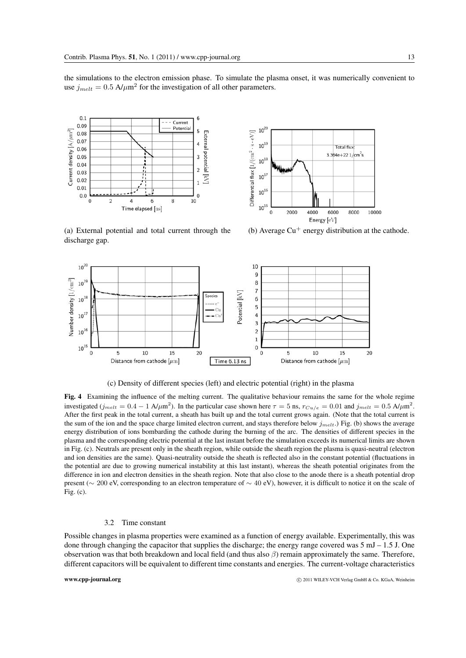the simulations to the electron emission phase. To simulate the plasma onset, it was numerically convenient to use  $j_{melt} = 0.5$  A/ $\mu$ m<sup>2</sup> for the investigation of all other parameters.





(a) External potential and total current through the discharge gap.

(b) Average  $Cu<sup>+</sup>$  energy distribution at the cathode.



(c) Density of different species (left) and electric potential (right) in the plasma

Fig. 4 Examining the influence of the melting current. The qualitative behaviour remains the same for the whole regime investigated  $(j_{melt} = 0.4 - 1 \text{ A}/\mu\text{m}^2)$ . In the particular case shown here  $\tau = 5$  ns,  $r_{Cu/e} = 0.01$  and  $j_{melt} = 0.5 \text{ A}/\mu\text{m}^2$ . After the first peak in the total current, a sheath has built up and the total current grows again. (Note that the total current is the sum of the ion and the space charge limited electron current, and stays therefore below  $j_{melt}$ .) Fig. (b) shows the average energy distribution of ions bombarding the cathode during the burning of the arc. The densities of different species in the plasma and the corresponding electric potential at the last instant before the simulation exceeds its numerical limits are shown in Fig. (c). Neutrals are present only in the sheath region, while outside the sheath region the plasma is quasi-neutral (electron and ion densities are the same). Quasi-neutrality outside the sheath is reflected also in the constant potential (fluctuations in the potential are due to growing numerical instability at this last instant), whereas the sheath potential originates from the difference in ion and electron densities in the sheath region. Note that also close to the anode there is a sheath potential drop present (∼ 200 eV, corresponding to an electron temperature of ∼ 40 eV), however, it is difficult to notice it on the scale of Fig. (c).

#### 3.2 Time constant

Possible changes in plasma properties were examined as a function of energy available. Experimentally, this was done through changing the capacitor that supplies the discharge; the energy range covered was 5 mJ – 1.5 J. One observation was that both breakdown and local field (and thus also  $\beta$ ) remain approximately the same. Therefore, different capacitors will be equivalent to different time constants and energies. The current-voltage characteristics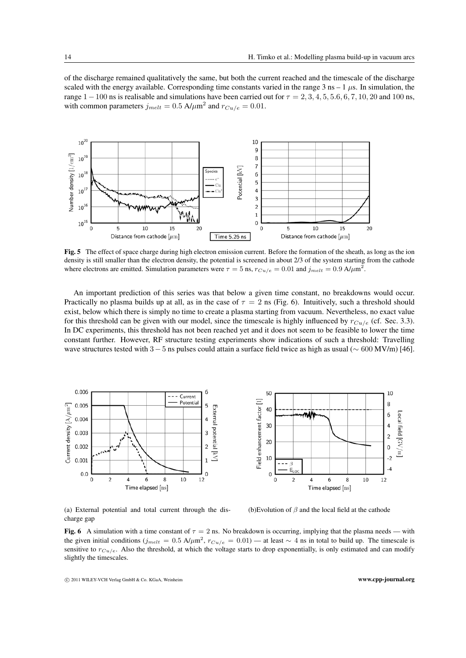of the discharge remained qualitatively the same, but both the current reached and the timescale of the discharge scaled with the energy available. Corresponding time constants varied in the range  $3 \text{ ns} - 1 \mu \text{s}$ . In simulation, the range  $1-100$  ns is realisable and simulations have been carried out for  $\tau = 2, 3, 4, 5, 5.6, 6, 7, 10, 20$  and 100 ns, with common parameters  $j_{melt} = 0.5 \text{ A}/\mu \text{m}^2$  and  $r_{Cu/e} = 0.01$ .



Fig. 5 The effect of space charge during high electron emission current. Before the formation of the sheath, as long as the ion density is still smaller than the electron density, the potential is screened in about 2/3 of the system starting from the cathode where electrons are emitted. Simulation parameters were  $\tau = 5$  ns,  $r_{Cu/e} = 0.01$  and  $j_{melt} = 0.9$  A/ $\mu$ m<sup>2</sup>.

An important prediction of this series was that below a given time constant, no breakdowns would occur. Practically no plasma builds up at all, as in the case of  $\tau = 2$  ns (Fig. 6). Intuitively, such a threshold should exist, below which there is simply no time to create a plasma starting from vacuum. Nevertheless, no exact value for this threshold can be given with our model, since the timescale is highly influenced by  $r_{Cu/e}$  (cf. Sec. 3.3). In DC experiments, this threshold has not been reached yet and it does not seem to be feasible to lower the time constant further. However, RF structure testing experiments show indications of such a threshold: Travelling wave structures tested with 3 − 5 ns pulses could attain a surface field twice as high as usual ( $\sim 600$  MV/m) [46].





(a) External potential and total current through the discharge gap

(b)Evolution of  $\beta$  and the local field at the cathode

Fig. 6 A simulation with a time constant of  $\tau = 2$  ns. No breakdown is occurring, implying that the plasma needs — with the given initial conditions  $(j_{melt} = 0.5 \text{ A/}\mu\text{m}^2, r_{Cu/e} = 0.01)$  — at least ∼ 4 ns in total to build up. The timescale is sensitive to  $r_{Cu/e}$ . Also the threshold, at which the voltage starts to drop exponentially, is only estimated and can modify slightly the timescales.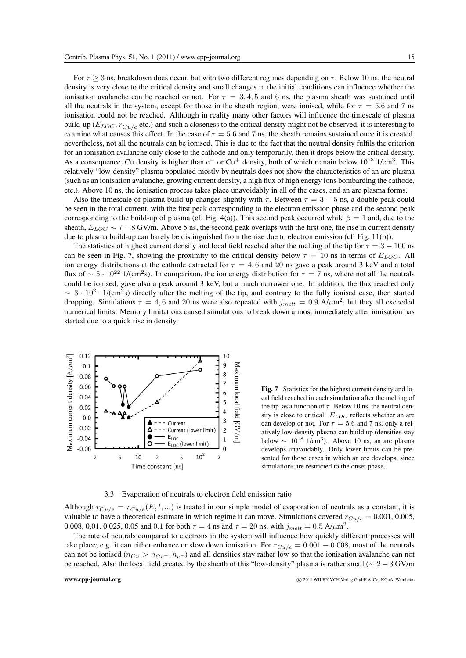For  $\tau > 3$  ns, breakdown does occur, but with two different regimes depending on  $\tau$ . Below 10 ns, the neutral density is very close to the critical density and small changes in the initial conditions can influence whether the ionisation avalanche can be reached or not. For  $\tau = 3, 4, 5$  and 6 ns, the plasma sheath was sustained until all the neutrals in the system, except for those in the sheath region, were ionised, while for  $\tau = 5.6$  and 7 ns ionisation could not be reached. Although in reality many other factors will influence the timescale of plasma build-up ( $E_{LOC}$ ,  $r_{Cu/e}$  etc.) and such a closeness to the critical density might not be observed, it is interesting to examine what causes this effect. In the case of  $\tau = 5.6$  and 7 ns, the sheath remains sustained once it is created, nevertheless, not all the neutrals can be ionised. This is due to the fact that the neutral density fulfils the criterion for an ionisation avalanche only close to the cathode and only temporarily, then it drops below the critical density. As a consequence, Cu density is higher than  $e^-$  or Cu<sup>+</sup> density, both of which remain below  $10^{18}$  1/cm<sup>3</sup>. This relatively "low-density" plasma populated mostly by neutrals does not show the characteristics of an arc plasma (such as an ionisation avalanche, growing current density, a high flux of high energy ions bombarding the cathode, etc.). Above 10 ns, the ionisation process takes place unavoidably in all of the cases, and an arc plasma forms.

Also the timescale of plasma build-up changes slightly with  $\tau$ . Between  $\tau = 3 - 5$  ns, a double peak could be seen in the total current, with the first peak corresponding to the electron emission phase and the second peak corresponding to the build-up of plasma (cf. Fig. 4(a)). This second peak occurred while  $\beta = 1$  and, due to the sheath,  $E_{LOC} \sim 7 - 8$  GV/m. Above 5 ns, the second peak overlaps with the first one, the rise in current density due to plasma build-up can barely be distinguished from the rise due to electron emission (cf. Fig. 11(b)).

The statistics of highest current density and local field reached after the melting of the tip for  $\tau = 3 - 100$  ns can be seen in Fig. 7, showing the proximity to the critical density below  $\tau = 10$  ns in terms of  $E_{LOC}$ . All ion energy distributions at the cathode extracted for  $\tau = 4, 6$  and 20 ns gave a peak around 3 keV and a total flux of ~ 5 · 10<sup>22</sup> 1/(cm<sup>2</sup>s). In comparison, the ion energy distribution for  $\tau = 7$  ns, where not all the neutrals could be ionised, gave also a peak around 3 keV, but a much narrower one. In addition, the flux reached only  $\sim 3 \cdot 10^{21}$  1/(cm<sup>2</sup>s) directly after the melting of the tip, and contrary to the fully ionised case, then started dropping. Simulations  $\tau = 4, 6$  and 20 ns were also repeated with  $j_{melt} = 0.9$  A/ $\mu$ m<sup>2</sup>, but they all exceeded numerical limits: Memory limitations caused simulations to break down almost immediately after ionisation has started due to a quick rise in density.



Fig. 7 Statistics for the highest current density and local field reached in each simulation after the melting of the tip, as a function of  $\tau$ . Below 10 ns, the neutral density is close to critical.  $E_{LOC}$  reflects whether an arc can develop or not. For  $\tau = 5.6$  and 7 ns, only a relatively low-density plasma can build up (densities stay below  $\sim 10^{18}$  1/cm<sup>3</sup>). Above 10 ns, an arc plasma develops unavoidably. Only lower limits can be presented for those cases in which an arc develops, since simulations are restricted to the onset phase.

## 3.3 Evaporation of neutrals to electron field emission ratio

Although  $r_{Cu/e} = r_{Cu/e}(E, t, ...)$  is treated in our simple model of evaporation of neutrals as a constant, it is valuable to have a theoretical estimate in which regime it can move. Simulations covered  $r_{Cu/e} = 0.001, 0.005$ , 0.008, 0.01, 0.025, 0.05 and 0.1 for both  $\tau = 4$  ns and  $\tau = 20$  ns, with  $j_{melt} = 0.5$  A/ $\mu$ m<sup>2</sup>.

The rate of neutrals compared to electrons in the system will influence how quickly different processes will take place; e.g. it can either enhance or slow down ionisation. For  $r_{Cu/e} = 0.001 - 0.008$ , most of the neutrals can not be ionised ( $n_{Cu} > n_{Cu+}, n_{e-}$ ) and all densities stay rather low so that the ionisation avalanche can not be reached. Also the local field created by the sheath of this "low-density" plasma is rather small (∼ 2 − 3 GV/m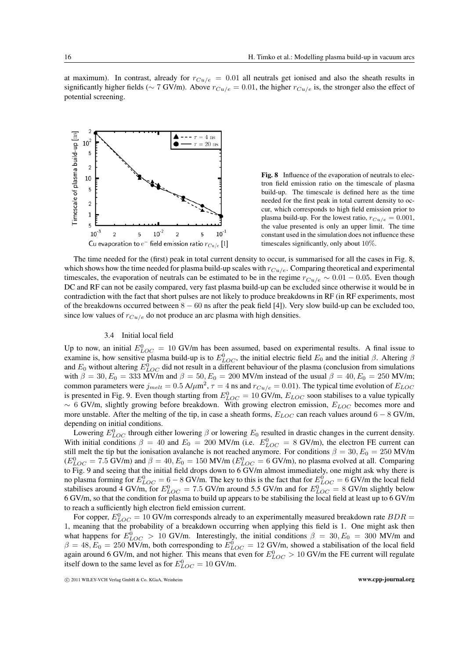at maximum). In contrast, already for  $r_{Cu/e} = 0.01$  all neutrals get ionised and also the sheath results in significantly higher fields ( $\sim$  7 GV/m). Above  $r_{Cu/e} = 0.01$ , the higher  $r_{Cu/e}$  is, the stronger also the effect of potential screening.



Fig. 8 Influence of the evaporation of neutrals to electron field emission ratio on the timescale of plasma build-up. The timescale is defined here as the time needed for the first peak in total current density to occur, which corresponds to high field emission prior to plasma build-up. For the lowest ratio,  $r_{Cu/e} = 0.001$ , the value presented is only an upper limit. The time constant used in the simulation does not influence these timescales significantly, only about 10%.

The time needed for the (first) peak in total current density to occur, is summarised for all the cases in Fig. 8, which shows how the time needed for plasma build-up scales with  $r_{Cu/e}$ . Comparing theoretical and experimental timescales, the evaporation of neutrals can be estimated to be in the regime  $r_{Cu/e} \sim 0.01 - 0.05$ . Even though DC and RF can not be easily compared, very fast plasma build-up can be excluded since otherwise it would be in contradiction with the fact that short pulses are not likely to produce breakdowns in RF (in RF experiments, most of the breakdowns occurred between 8 − 60 ns after the peak field [4]). Very slow build-up can be excluded too, since low values of  $r_{Cu/e}$  do not produce an arc plasma with high densities.

#### 3.4 Initial local field

Up to now, an initial  $E_{LOC}^0 = 10$  GV/m has been assumed, based on experimental results. A final issue to examine is, how sensitive plasma build-up is to  $E_{LOC}^0$ , the initial electric field  $E_0$  and the initial  $\beta$ . Altering  $\beta$ and  $E_0$  without altering  $E_{LOC}^0$  did not result in a different behaviour of the plasma (conclusion from simulations with  $\beta = 30, E_0 = 333$  MV/m and  $\beta = 50, E_0 = 200$  MV/m instead of the usual  $\beta = 40, E_0 = 250$  MV/m; common parameters were  $j_{melt} = 0.5 \text{ A/}\mu\text{m}^2$ ,  $\tau = 4 \text{ ns}$  and  $r_{Cu/e} = 0.01$ ). The typical time evolution of  $E_{LOC}$ is presented in Fig. 9. Even though starting from  $E_{LOC}^0 = 10$  GV/m,  $E_{LOC}$  soon stabilises to a value typically  $\sim$  6 GV/m, slightly growing before breakdown. With growing electron emission,  $E_{LOC}$  becomes more and more unstable. After the melting of the tip, in case a sheath forms,  $E_{LOC}$  can reach values around 6 – 8 GV/m, depending on initial conditions.

Lowering  $E_{LOC}^0$  through either lowering  $\beta$  or lowering  $E_0$  resulted in drastic changes in the current density. With initial conditions  $\beta = 40$  and  $E_0 = 200$  MV/m (i.e.  $E_{LOC}^0 = 8$  GV/m), the electron FE current can still melt the tip but the ionisation avalanche is not reached anymore. For conditions  $\beta = 30, E_0 = 250$  MV/m  $(E_{LOC}^0 = 7.5 \text{ GV/m})$  and  $\beta = 40, E_0 = 150 \text{ MV/m } (E_{LOC}^0 = 6 \text{ GV/m})$ , no plasma evolved at all. Comparing to Fig. 9 and seeing that the initial field drops down to 6 GV/m almost immediately, one might ask why there is no plasma forming for  $E_{LOC}^0 = 6 - 8$  GV/m. The key to this is the fact that for  $E_{LOC}^0 = 6$  GV/m the local field stabilises around 4 GV/m, for  $E_{LOC}^0 = 7.5$  GV/m around 5.5 GV/m and for  $E_{LOC}^0 = 8$  GV/m slightly below 6 GV/m, so that the condition for plasma to build up appears to be stabilising the local field at least up to 6 GV/m to reach a sufficiently high electron field emission current.

For copper,  $E_{LOC}^0 = 10$  GV/m corresponds already to an experimentally measured breakdown rate  $BDR =$ 1, meaning that the probability of a breakdown occurring when applying this field is 1. One might ask then what happens for  $E_{LOC}^0 > 10$  GV/m. Interestingly, the initial conditions  $\beta = 30, E_0 = 300$  MV/m and  $\beta = 48, E_0 = 250$  MV/m, both corresponding to  $E_{LOC}^0 = 12$  GV/m, showed a stabilisation of the local field again around 6 GV/m, and not higher. This means that even for  $E_{LOC}^0 > 10$  GV/m the FE current will regulate itself down to the same level as for  $E_{LOC}^0 = 10 \text{ GV/m}$ .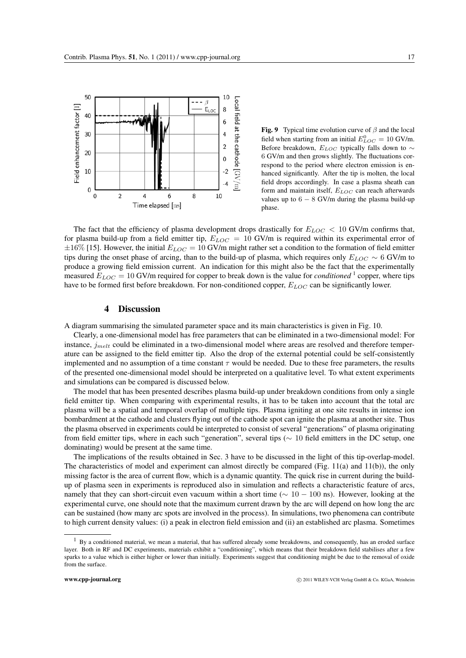

Fig. 9 Typical time evolution curve of  $\beta$  and the local field when starting from an initial  $E_{LOC}^0 = 10 \text{ GV/m}$ . Before breakdown,  $E_{LOC}$  typically falls down to  $\sim$ 6 GV/m and then grows slightly. The fluctuations correspond to the period where electron emission is enhanced significantly. After the tip is molten, the local field drops accordingly. In case a plasma sheath can form and maintain itself,  $E_{LOC}$  can reach afterwards values up to  $6 - 8$  GV/m during the plasma build-up phase.

The fact that the efficiency of plasma development drops drastically for  $E_{LOC}$  < 10 GV/m confirms that, for plasma build-up from a field emitter tip,  $E_{LOC} = 10$  GV/m is required within its experimental error of  $\pm 16\%$  [15]. However, the initial  $E_{LOC} = 10$  GV/m might rather set a condition to the formation of field emitter tips during the onset phase of arcing, than to the build-up of plasma, which requires only  $E_{LOC} \sim 6$  GV/m to produce a growing field emission current. An indication for this might also be the fact that the experimentally measured  $E_{LOC} = 10$  GV/m required for copper to break down is the value for *conditioned* <sup>1</sup> copper, where tips have to be formed first before breakdown. For non-conditioned copper,  $E_{LOC}$  can be significantly lower.

## 4 Discussion

A diagram summarising the simulated parameter space and its main characteristics is given in Fig. 10.

Clearly, a one-dimensional model has free parameters that can be eliminated in a two-dimensional model: For instance,  $j_{melt}$  could be eliminated in a two-dimensional model where areas are resolved and therefore temperature can be assigned to the field emitter tip. Also the drop of the external potential could be self-consistently implemented and no assumption of a time constant  $\tau$  would be needed. Due to these free parameters, the results of the presented one-dimensional model should be interpreted on a qualitative level. To what extent experiments and simulations can be compared is discussed below.

The model that has been presented describes plasma build-up under breakdown conditions from only a single field emitter tip. When comparing with experimental results, it has to be taken into account that the total arc plasma will be a spatial and temporal overlap of multiple tips. Plasma igniting at one site results in intense ion bombardment at the cathode and clusters flying out of the cathode spot can ignite the plasma at another site. Thus the plasma observed in experiments could be interpreted to consist of several "generations" of plasma originating from field emitter tips, where in each such "generation", several tips ( $\sim 10$  field emitters in the DC setup, one dominating) would be present at the same time.

The implications of the results obtained in Sec. 3 have to be discussed in the light of this tip-overlap-model. The characteristics of model and experiment can almost directly be compared (Fig. 11(a) and 11(b)), the only missing factor is the area of current flow, which is a dynamic quantity. The quick rise in current during the buildup of plasma seen in experiments is reproduced also in simulation and reflects a characteristic feature of arcs, namely that they can short-circuit even vacuum within a short time ( $\sim 10 - 100$  ns). However, looking at the experimental curve, one should note that the maximum current drawn by the arc will depend on how long the arc can be sustained (how many arc spots are involved in the process). In simulations, two phenomena can contribute to high current density values: (i) a peak in electron field emission and (ii) an established arc plasma. Sometimes

<sup>&</sup>lt;sup>1</sup> By a conditioned material, we mean a material, that has suffered already some breakdowns, and consequently, has an eroded surface layer. Both in RF and DC experiments, materials exhibit a "conditioning", which means that their breakdown field stabilises after a few sparks to a value which is either higher or lower than initially. Experiments suggest that conditioning might be due to the removal of oxide from the surface.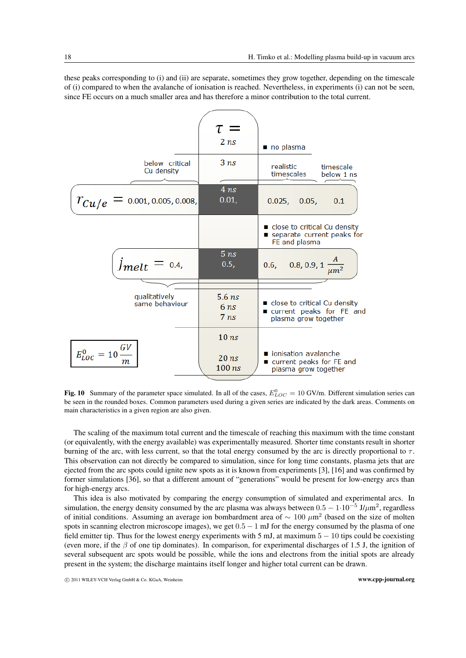these peaks corresponding to (i) and (ii) are separate, sometimes they grow together, depending on the timescale of (i) compared to when the avalanche of ionisation is reached. Nevertheless, in experiments (i) can not be seen, since FE occurs on a much smaller area and has therefore a minor contribution to the total current.



**Fig. 10** Summary of the parameter space simulated. In all of the cases,  $E_{LOC}^0 = 10$  GV/m. Different simulation series can be seen in the rounded boxes. Common parameters used during a given series are indicated by the dark areas. Comments on main characteristics in a given region are also given.

The scaling of the maximum total current and the timescale of reaching this maximum with the time constant (or equivalently, with the energy available) was experimentally measured. Shorter time constants result in shorter burning of the arc, with less current, so that the total energy consumed by the arc is directly proportional to  $\tau$ . This observation can not directly be compared to simulation, since for long time constants, plasma jets that are ejected from the arc spots could ignite new spots as it is known from experiments [3], [16] and was confirmed by former simulations [36], so that a different amount of "generations" would be present for low-energy arcs than for high-energy arcs.

This idea is also motivated by comparing the energy consumption of simulated and experimental arcs. In simulation, the energy density consumed by the arc plasma was always between  $0.5 - 1 \cdot 10^{-5}$  J/ $\mu$ m<sup>2</sup>, regardless of initial conditions. Assuming an average ion bombardment area of  $\sim 100 \ \mu m^2$  (based on the size of molten spots in scanning electron microscope images), we get  $0.5 - 1$  mJ for the energy consumed by the plasma of one field emitter tip. Thus for the lowest energy experiments with 5 mJ, at maximum  $5 - 10$  tips could be coexisting (even more, if the  $\beta$  of one tip dominates). In comparison, for experimental discharges of 1.5 J, the ignition of several subsequent arc spots would be possible, while the ions and electrons from the initial spots are already present in the system; the discharge maintains itself longer and higher total current can be drawn.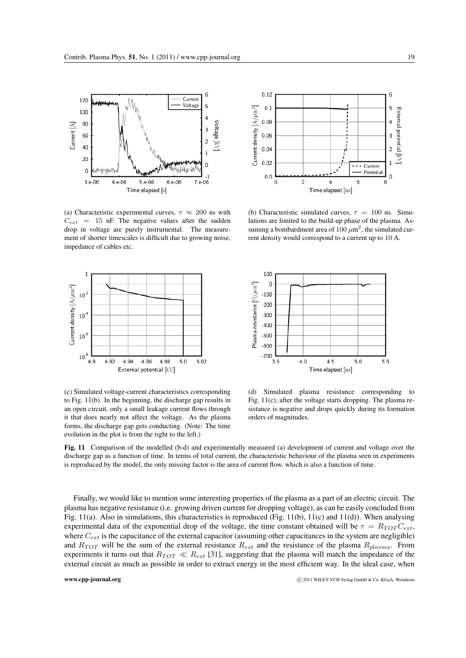

(a) Characteristic experimental curves,  $\tau \approx 200$  ns with  $C_{ext}$  = 15 nF. The negative values after the sudden drop in voltage are purely instrumental. The measurement of shorter timescales is difficult due to growing noise, impedance of cables etc.



(c) Simulated voltage-current characteristics corresponding to Fig. 11(b). In the beginning, the discharge gap results in an open circuit, only a small leakage current flows through it that does nearly not affect the voltage. As the plasma forms, the discharge gap gets conducting. (Note: The time evolution in the plot is from the right to the left.)



(b) Characteristic simulated curves,  $\tau = 100$  ns. Simulations are limited to the build-up phase of the plasma. Assuming a bombardment area of 100  $\mu$ m<sup>2</sup>, the simulated current density would correspond to a current up to 10 A.



(d) Simulated plasma resistance corresponding to Fig. 11(c), after the voltage starts dropping. The plasma resistance is negative and drops quickly during its formation orders of magnitudes.

Fig. 11 Comparison of the modelled (b-d) and experimentally measured (a) development of current and voltage over the discharge gap as a function of time. In terms of total current, the characteristic behaviour of the plasma seen in experiments is reproduced by the model, the only missing factor is the area of current flow, which is also a function of time.

Finally, we would like to mention some interesting properties of the plasma as a part of an electric circuit. The plasma has negative resistance (i.e. growing driven current for dropping voltage), as can be easily concluded from Fig. 11(a). Also in simulations, this characteristics is reproduced (Fig. 11(b), 11(c) and 11(d)). When analysing experimental data of the exponential drop of the voltage, the time constant obtained will be  $\tau = R_{TOT}C_{ext}$ , where  $C_{ext}$  is the capacitance of the external capacitor (assuming other capacitances in the system are negligible) and  $R_{TOT}$  will be the sum of the external resistance  $R_{ext}$  and the resistance of the plasma  $R_{plasma}$ . From experiments it turns out that  $R_{TOT} \ll R_{ext}$  [31], suggesting that the plasma will match the impedance of the external circuit as much as possible in order to extract energy in the most efficient way. In the ideal case, when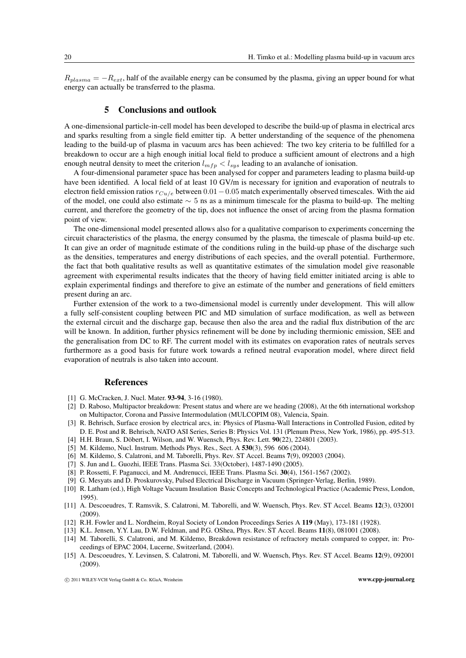$R_{plasma} = -R_{ext}$ , half of the available energy can be consumed by the plasma, giving an upper bound for what energy can actually be transferred to the plasma.

# 5 Conclusions and outlook

A one-dimensional particle-in-cell model has been developed to describe the build-up of plasma in electrical arcs and sparks resulting from a single field emitter tip. A better understanding of the sequence of the phenomena leading to the build-up of plasma in vacuum arcs has been achieved: The two key criteria to be fulfilled for a breakdown to occur are a high enough initial local field to produce a sufficient amount of electrons and a high enough neutral density to meet the criterion  $l_{mfp} < l_{sys}$  leading to an avalanche of ionisation.

A four-dimensional parameter space has been analysed for copper and parameters leading to plasma build-up have been identified. A local field of at least 10 GV/m is necessary for ignition and evaporation of neutrals to electron field emission ratios  $r_{Cu/e}$  between  $0.01-0.05$  match experimentally observed timescales. With the aid of the model, one could also estimate  $\sim 5$  ns as a minimum timescale for the plasma to build-up. The melting current, and therefore the geometry of the tip, does not influence the onset of arcing from the plasma formation point of view.

The one-dimensional model presented allows also for a qualitative comparison to experiments concerning the circuit characteristics of the plasma, the energy consumed by the plasma, the timescale of plasma build-up etc. It can give an order of magnitude estimate of the conditions ruling in the build-up phase of the discharge such as the densities, temperatures and energy distributions of each species, and the overall potential. Furthermore, the fact that both qualitative results as well as quantitative estimates of the simulation model give reasonable agreement with experimental results indicates that the theory of having field emitter initiated arcing is able to explain experimental findings and therefore to give an estimate of the number and generations of field emitters present during an arc.

Further extension of the work to a two-dimensional model is currently under development. This will allow a fully self-consistent coupling between PIC and MD simulation of surface modification, as well as between the external circuit and the discharge gap, because then also the area and the radial flux distribution of the arc will be known. In addition, further physics refinement will be done by including thermionic emission, SEE and the generalisation from DC to RF. The current model with its estimates on evaporation rates of neutrals serves furthermore as a good basis for future work towards a refined neutral evaporation model, where direct field evaporation of neutrals is also taken into account.

#### References

- [1] G. McCracken, J. Nucl. Mater. 93-94, 3-16 (1980).
- [2] D. Raboso, Multipactor breakdown: Present status and where are we heading (2008), At the 6th international workshop on Multipactor, Corona and Passive Intermodulation (MULCOPIM 08), Valencia, Spain.
- [3] R. Behrisch, Surface erosion by electrical arcs, in: Physics of Plasma-Wall Interactions in Controlled Fusion, edited by D. E. Post and R. Behrisch, NATO ASI Series, Series B: Physics Vol. 131 (Plenum Press, New York, 1986), pp. 495-513.
- [4] H.H. Braun, S. Döbert, I. Wilson, and W. Wuensch, Phys. Rev. Lett. 90(22), 224801 (2003).
- [5] M. Kildemo, Nucl. Instrum. Methods Phys. Res., Sect. A 530(3), 596 606 (2004).
- [6] M. Kildemo, S. Calatroni, and M. Taborelli, Phys. Rev. ST Accel. Beams 7(9), 092003 (2004).
- [7] S. Jun and L. Guozhi, IEEE Trans. Plasma Sci. 33(October), 1487-1490 (2005).
- [8] P. Rossetti, F. Paganucci, and M. Andrenucci, IEEE Trans. Plasma Sci. 30(4), 1561-1567 (2002).
- [9] G. Mesyats and D. Proskurovsky, Pulsed Electrical Discharge in Vacuum (Springer-Verlag, Berlin, 1989).
- [10] R. Latham (ed.), High Voltage Vacuum Insulation Basic Concepts and Technological Practice (Academic Press, London, 1995).
- [11] A. Descoeudres, T. Ramsvik, S. Calatroni, M. Taborelli, and W. Wuensch, Phys. Rev. ST Accel. Beams 12(3), 032001 (2009).
- [12] R.H. Fowler and L. Nordheim, Royal Society of London Proceedings Series A 119 (May), 173-181 (1928).
- [13] K.L. Jensen, Y.Y. Lau, D.W. Feldman, and P.G. OShea, Phys. Rev. ST Accel. Beams 11(8), 081001 (2008).
- [14] M. Taborelli, S. Calatroni, and M. Kildemo, Breakdown resistance of refractory metals compared to copper, in: Proceedings of EPAC 2004, Lucerne, Switzerland, (2004).
- [15] A. Descoeudres, Y. Levinsen, S. Calatroni, M. Taborelli, and W. Wuensch, Phys. Rev. ST Accel. Beams 12(9), 092001 (2009).